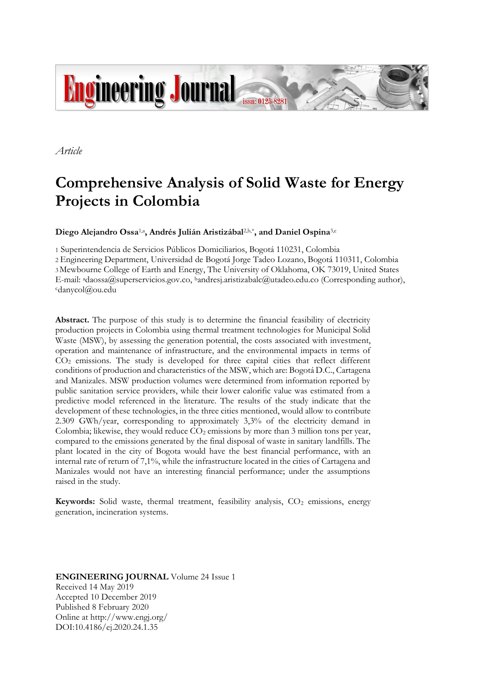

*Article*

# **Comprehensive Analysis of Solid Waste for Energy Projects in Colombia**

**Diego Alejandro Ossa**1,a**, Andrés Julián Aristizábal**2,b,\***, and Daniel Ospina**3,c

1 Superintendencia de Servicios Públicos Domiciliarios, Bogotá 110231, Colombia 2 Engineering Department, Universidad de Bogotá Jorge Tadeo Lozano, Bogotá 110311, Colombia 3Mewbourne College of Earth and Energy, The University of Oklahoma, OK 73019, United States E-mail: adaossa@superservicios.gov.co, bandresj.aristizabalc@utadeo.edu.co (Corresponding author), <sup>c</sup>danycol@ou.edu

Abstract. The purpose of this study is to determine the financial feasibility of electricity production projects in Colombia using thermal treatment technologies for Municipal Solid Waste (MSW), by assessing the generation potential, the costs associated with investment, operation and maintenance of infrastructure, and the environmental impacts in terms of CO<sup>2</sup> emissions. The study is developed for three capital cities that reflect different conditions of production and characteristics of the MSW, which are: Bogotá D.C., Cartagena and Manizales. MSW production volumes were determined from information reported by public sanitation service providers, while their lower calorific value was estimated from a predictive model referenced in the literature. The results of the study indicate that the development of these technologies, in the three cities mentioned, would allow to contribute 2.309 GWh/year, corresponding to approximately 3,3% of the electricity demand in Colombia; likewise, they would reduce  $CO<sub>2</sub>$  emissions by more than 3 million tons per year, compared to the emissions generated by the final disposal of waste in sanitary landfills. The plant located in the city of Bogota would have the best financial performance, with an internal rate of return of 7,1%, while the infrastructure located in the cities of Cartagena and Manizales would not have an interesting financial performance; under the assumptions raised in the study.

**Keywords:** Solid waste, thermal treatment, feasibility analysis, CO<sub>2</sub> emissions, energy generation, incineration systems.

**ENGINEERING JOURNAL** Volume 24 Issue 1 Received 14 May 2019 Accepted 10 December 2019 Published 8 February 2020 Online at http://www.engj.org/ DOI:10.4186/ej.2020.24.1.35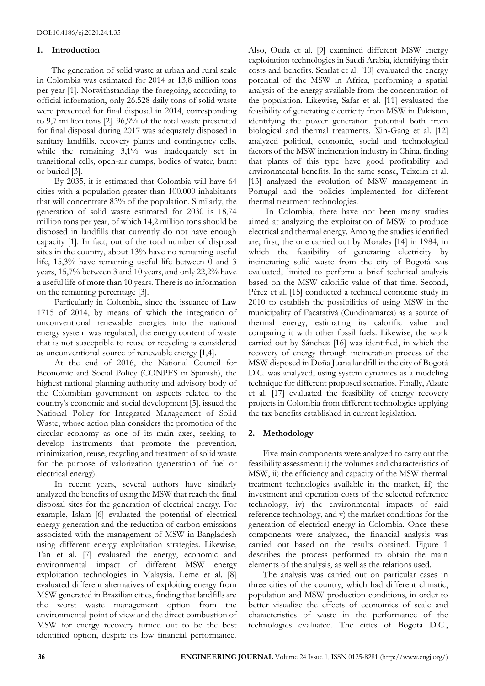## **1. Introduction**

The generation of solid waste at urban and rural scale in Colombia was estimated for 2014 at 13,8 million tons per year [1]. Notwithstanding the foregoing, according to official information, only 26.528 daily tons of solid waste were presented for final disposal in 2014, corresponding to 9,7 million tons [2]. 96,9% of the total waste presented for final disposal during 2017 was adequately disposed in sanitary landfills, recovery plants and contingency cells, while the remaining 3,1% was inadequately set in transitional cells, open-air dumps, bodies of water, burnt or buried [3].

By 2035, it is estimated that Colombia will have 64 cities with a population greater than 100.000 inhabitants that will concentrate 83% of the population. Similarly, the generation of solid waste estimated for 2030 is 18,74 million tons per year, of which 14,2 million tons should be disposed in landfills that currently do not have enough capacity [1]. In fact, out of the total number of disposal sites in the country, about 13% have no remaining useful life, 15,3% have remaining useful life between 0 and 3 years, 15,7% between 3 and 10 years, and only 22,2% have a useful life of more than 10 years. There is no information on the remaining percentage [3].

Particularly in Colombia, since the issuance of Law 1715 of 2014, by means of which the integration of unconventional renewable energies into the national energy system was regulated, the energy content of waste that is not susceptible to reuse or recycling is considered as unconventional source of renewable energy [1,4].

At the end of 2016, the National Council for Economic and Social Policy (CONPES in Spanish), the highest national planning authority and advisory body of the Colombian government on aspects related to the country's economic and social development [5], issued the National Policy for Integrated Management of Solid Waste, whose action plan considers the promotion of the circular economy as one of its main axes, seeking to develop instruments that promote the prevention, minimization, reuse, recycling and treatment of solid waste for the purpose of valorization (generation of fuel or electrical energy).

In recent years, several authors have similarly analyzed the benefits of using the MSW that reach the final disposal sites for the generation of electrical energy. For example, Islam [6] evaluated the potential of electrical energy generation and the reduction of carbon emissions associated with the management of MSW in Bangladesh using different energy exploitation strategies. Likewise, Tan et al. [7] evaluated the energy, economic and environmental impact of different MSW energy exploitation technologies in Malaysia. Leme et al. [8] evaluated different alternatives of exploiting energy from MSW generated in Brazilian cities, finding that landfills are the worst waste management option from the environmental point of view and the direct combustion of MSW for energy recovery turned out to be the best identified option, despite its low financial performance.

Also, Ouda et al. [9] examined different MSW energy exploitation technologies in Saudi Arabia, identifying their costs and benefits. Scarlat et al. [10] evaluated the energy potential of the MSW in Africa, performing a spatial analysis of the energy available from the concentration of the population. Likewise, Safar et al. [11] evaluated the feasibility of generating electricity from MSW in Pakistan, identifying the power generation potential both from biological and thermal treatments. Xin-Gang et al. [12] analyzed political, economic, social and technological factors of the MSW incineration industry in China, finding that plants of this type have good profitability and environmental benefits. In the same sense, Teixeira et al. [13] analyzed the evolution of MSW management in Portugal and the policies implemented for different thermal treatment technologies.

In Colombia, there have not been many studies aimed at analyzing the exploitation of MSW to produce electrical and thermal energy. Among the studies identified are, first, the one carried out by Morales [14] in 1984, in which the feasibility of generating electricity by incinerating solid waste from the city of Bogotá was evaluated, limited to perform a brief technical analysis based on the MSW calorific value of that time. Second, Pérez et al. [15] conducted a technical economic study in 2010 to establish the possibilities of using MSW in the municipality of Facatativá (Cundinamarca) as a source of thermal energy, estimating its calorific value and comparing it with other fossil fuels. Likewise, the work carried out by Sánchez [16] was identified, in which the recovery of energy through incineration process of the MSW disposed in Doña Juana landfill in the city of Bogotá D.C. was analyzed, using system dynamics as a modeling technique for different proposed scenarios. Finally, Alzate et al. [17] evaluated the feasibility of energy recovery projects in Colombia from different technologies applying the tax benefits established in current legislation.

# **2. Methodology**

Five main components were analyzed to carry out the feasibility assessment: i) the volumes and characteristics of MSW, ii) the efficiency and capacity of the MSW thermal treatment technologies available in the market, iii) the investment and operation costs of the selected reference technology, iv) the environmental impacts of said reference technology, and v) the market conditions for the generation of electrical energy in Colombia. Once these components were analyzed, the financial analysis was carried out based on the results obtained. Figure 1 describes the process performed to obtain the main elements of the analysis, as well as the relations used.

The analysis was carried out on particular cases in three cities of the country, which had different climatic, population and MSW production conditions, in order to better visualize the effects of economies of scale and characteristics of waste in the performance of the technologies evaluated. The cities of Bogotá D.C.,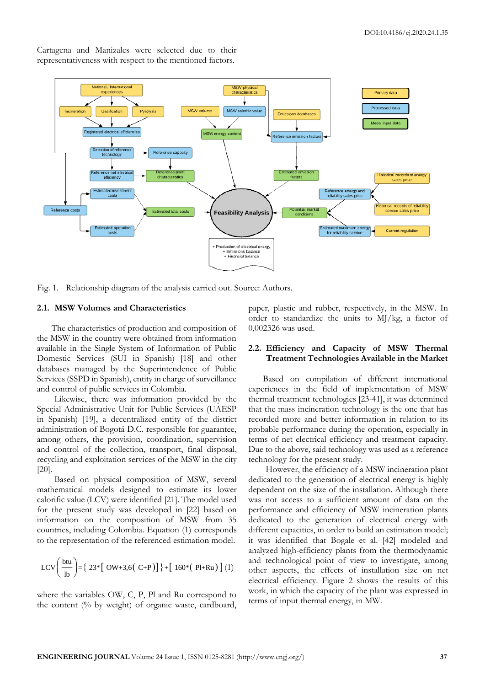

Cartagena and Manizales were selected due to their representativeness with respect to the mentioned factors.

Fig. 1. Relationship diagram of the analysis carried out. Source: Authors.

#### **2.1. MSW Volumes and Characteristics**

The characteristics of production and composition of the MSW in the country were obtained from information available in the Single System of Information of Public Domestic Services (SUI in Spanish) [18] and other databases managed by the Superintendence of Public Services (SSPD in Spanish), entity in charge of surveillance and control of public services in Colombia.

Likewise, there was information provided by the Special Administrative Unit for Public Services (UAESP in Spanish) [19], a decentralized entity of the district administration of Bogotá D.C. responsible for guarantee, among others, the provision, coordination, supervision and control of the collection, transport, final disposal, recycling and exploitation services of the MSW in the city [20].

Based on physical composition of MSW, several mathematical models designed to estimate its lower calorific value (LCV) were identified [21]. The model used for the present study was developed in [22] based on information on the composition of MSW from 35 countries, including Colombia. Equation (1) corresponds to the representation of the referenced estimation model.

$$
LCV\left(\frac{but}{lb}\right) = \{ 23 * [OW+3,6(C+P)] \} + [160 * (P1+Ru)] (1)
$$

where the variables OW, C, P, Pl and Ru correspond to the content (% by weight) of organic waste, cardboard, paper, plastic and rubber, respectively, in the MSW. In order to standardize the units to MJ/kg, a factor of 0,002326 was used.

#### **2.2. Efficiency and Capacity of MSW Thermal Treatment Technologies Available in the Market**

Based on compilation of different international experiences in the field of implementation of MSW thermal treatment technologies [23-41], it was determined that the mass incineration technology is the one that has recorded more and better information in relation to its probable performance during the operation, especially in terms of net electrical efficiency and treatment capacity. Due to the above, said technology was used as a reference technology for the present study.

However, the efficiency of a MSW incineration plant dedicated to the generation of electrical energy is highly dependent on the size of the installation. Although there was not access to a sufficient amount of data on the performance and efficiency of MSW incineration plants dedicated to the generation of electrical energy with different capacities, in order to build an estimation model; it was identified that Bogale et al. [42] modeled and analyzed high-efficiency plants from the thermodynamic and technological point of view to investigate, among other aspects, the effects of installation size on net electrical efficiency. Figure 2 shows the results of this work, in which the capacity of the plant was expressed in terms of input thermal energy, in MW.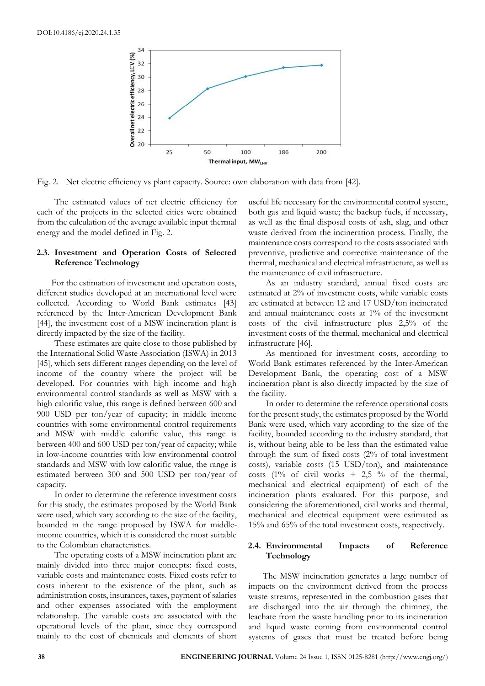

Fig. 2. Net electric efficiency vs plant capacity. Source: own elaboration with data from [42].

The estimated values of net electric efficiency for each of the projects in the selected cities were obtained from the calculation of the average available input thermal energy and the model defined in Fig. 2.

## **2.3. Investment and Operation Costs of Selected Reference Technology**

For the estimation of investment and operation costs, different studies developed at an international level were collected. According to World Bank estimates [43] referenced by the Inter-American Development Bank [44], the investment cost of a MSW incineration plant is directly impacted by the size of the facility.

These estimates are quite close to those published by the International Solid Waste Association (ISWA) in 2013 [45], which sets different ranges depending on the level of income of the country where the project will be developed. For countries with high income and high environmental control standards as well as MSW with a high calorific value, this range is defined between 600 and 900 USD per ton/year of capacity; in middle income countries with some environmental control requirements and MSW with middle calorific value, this range is between 400 and 600 USD per ton/year of capacity; while in low-income countries with low environmental control standards and MSW with low calorific value, the range is estimated between 300 and 500 USD per ton/year of capacity.

In order to determine the reference investment costs for this study, the estimates proposed by the World Bank were used, which vary according to the size of the facility, bounded in the range proposed by ISWA for middleincome countries, which it is considered the most suitable to the Colombian characteristics.

The operating costs of a MSW incineration plant are mainly divided into three major concepts: fixed costs, variable costs and maintenance costs. Fixed costs refer to costs inherent to the existence of the plant, such as administration costs, insurances, taxes, payment of salaries and other expenses associated with the employment relationship. The variable costs are associated with the operational levels of the plant, since they correspond mainly to the cost of chemicals and elements of short useful life necessary for the environmental control system, both gas and liquid waste; the backup fuels, if necessary, as well as the final disposal costs of ash, slag, and other waste derived from the incineration process. Finally, the maintenance costs correspond to the costs associated with preventive, predictive and corrective maintenance of the thermal, mechanical and electrical infrastructure, as well as the maintenance of civil infrastructure.

As an industry standard, annual fixed costs are estimated at 2% of investment costs, while variable costs are estimated at between 12 and 17 USD/ton incinerated and annual maintenance costs at 1% of the investment costs of the civil infrastructure plus 2,5% of the investment costs of the thermal, mechanical and electrical infrastructure [46].

As mentioned for investment costs, according to World Bank estimates referenced by the Inter-American Development Bank, the operating cost of a MSW incineration plant is also directly impacted by the size of the facility.

In order to determine the reference operational costs for the present study, the estimates proposed by the World Bank were used, which vary according to the size of the facility, bounded according to the industry standard, that is, without being able to be less than the estimated value through the sum of fixed costs (2% of total investment costs), variable costs (15 USD/ton), and maintenance costs (1% of civil works  $+$  2,5 % of the thermal, mechanical and electrical equipment) of each of the incineration plants evaluated. For this purpose, and considering the aforementioned, civil works and thermal, mechanical and electrical equipment were estimated as 15% and 65% of the total investment costs, respectively.

# **2.4. Environmental Impacts of Reference Technology**

The MSW incineration generates a large number of impacts on the environment derived from the process waste streams, represented in the combustion gases that are discharged into the air through the chimney, the leachate from the waste handling prior to its incineration and liquid waste coming from environmental control systems of gases that must be treated before being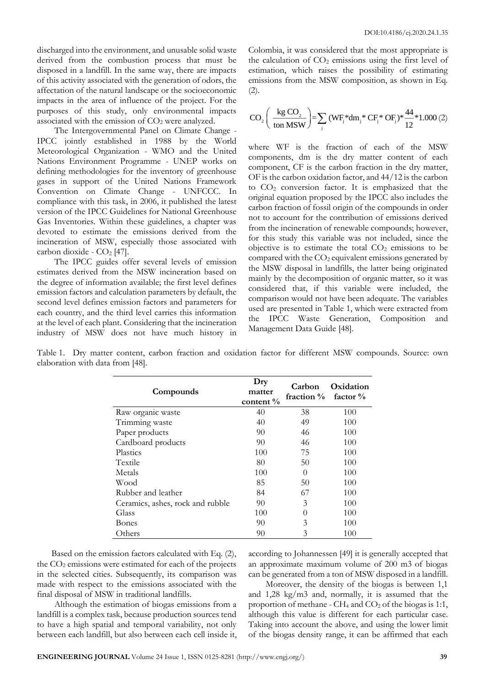discharged into the environment, and unusable solid waste derived from the combustion process that must be disposed in a landfill. In the same way, there are impacts of this activity associated with the generation of odors, the affectation of the natural landscape or the socioeconomic impacts in the area of influence of the project. For the purposes of this study, only environmental impacts associated with the emission of  $CO<sub>2</sub>$  were analyzed.

The Intergovernmental Panel on Climate Change - IPCC jointly established in 1988 by the World Meteorological Organization - WMO and the United Nations Environment Programme - UNEP works on defining methodologies for the inventory of greenhouse gases in support of the United Nations Framework Convention on Climate Change - UNFCCC. In compliance with this task, in 2006, it published the latest version of the IPCC Guidelines for National Greenhouse Gas Inventories. Within these guidelines, a chapter was devoted to estimate the emissions derived from the incineration of MSW, especially those associated with carbon dioxide -  $CO<sub>2</sub>$  [47].

The IPCC guides offer several levels of emission estimates derived from the MSW incineration based on the degree of information available; the first level defines emission factors and calculation parameters by default, the second level defines emission factors and parameters for each country, and the third level carries this information at the level of each plant. Considering that the incineration industry of MSW does not have much history in Colombia, it was considered that the most appropriate is the calculation of  $CO<sub>2</sub>$  emissions using the first level of estimation, which raises the possibility of estimating emissions from the MSW composition, as shown in Eq. (2).

$$
CO_{2}\left(\frac{\text{kg CO}_{2}}{\text{ton MSW}}\right) = \sum_{j} (WF_{j}^{*}dm_{j}^{*} CF_{j}^{*} OF_{j})^{*} \frac{44}{12}^{*} 1.000 (2)
$$

where WF is the fraction of each of the MSW components, dm is the dry matter content of each component, CF is the carbon fraction in the dry matter, OF is the carbon oxidation factor, and 44/12 is the carbon to  $CO<sub>2</sub>$  conversion factor. It is emphasized that the original equation proposed by the IPCC also includes the carbon fraction of fossil origin of the compounds in order not to account for the contribution of emissions derived from the incineration of renewable compounds; however, for this study this variable was not included, since the objective is to estimate the total  $CO<sub>2</sub>$  emissions to be compared with the  $CO<sub>2</sub>$  equivalent emissions generated by the MSW disposal in landfills, the latter being originated mainly by the decomposition of organic matter, so it was considered that, if this variable were included, the comparison would not have been adequate. The variables used are presented in Table 1, which were extracted from the IPCC Waste Generation, Composition and Management Data Guide [48].

Table 1. Dry matter content, carbon fraction and oxidation factor for different MSW compounds. Source: own elaboration with data from [48].

| Compounds                        | Dry<br>matter<br>content $\%$ | Carbon<br>fraction $\%$ | Oxidation<br>factor $\%$ |  |
|----------------------------------|-------------------------------|-------------------------|--------------------------|--|
| Raw organic waste                | 40                            | 38                      | 100                      |  |
| Trimming waste                   | 40                            | 49                      | 100                      |  |
| Paper products                   | 90                            | 46                      | 100                      |  |
| Cardboard products               | 90                            | 46                      | 100                      |  |
| Plastics                         | 100                           | 75                      | 100                      |  |
| Textile                          | 80                            | 50                      | 100                      |  |
| Metals                           | 100                           | $\Omega$                | 100                      |  |
| Wood                             | 85                            | 50                      | 100                      |  |
| Rubber and leather               | 84                            | 67                      | 100                      |  |
| Ceramics, ashes, rock and rubble | 90                            | 3                       | 100                      |  |
| Glass                            | 100                           | $\left( \right)$        | 100                      |  |
| Bones                            | 90                            | 3                       | 100                      |  |
| Others                           | 90                            | 3                       | 100                      |  |

Based on the emission factors calculated with Eq. (2), the  $CO<sub>2</sub>$  emissions were estimated for each of the projects in the selected cities. Subsequently, its comparison was made with respect to the emissions associated with the final disposal of MSW in traditional landfills.

Although the estimation of biogas emissions from a landfill is a complex task, because production sources tend to have a high spatial and temporal variability, not only between each landfill, but also between each cell inside it, according to Johannessen [49] it is generally accepted that an approximate maximum volume of 200 m3 of biogas can be generated from a ton of MSW disposed in a landfill.

Moreover, the density of the biogas is between 1,1 and 1,28 kg/m3 and, normally, it is assumed that the proportion of methane -  $CH_4$  and  $CO_2$  of the biogas is 1:1, although this value is different for each particular case. Taking into account the above, and using the lower limit of the biogas density range, it can be affirmed that each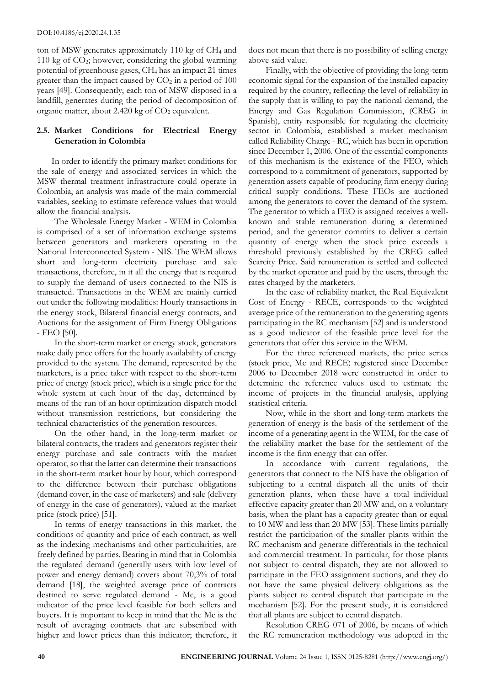ton of MSW generates approximately 110 kg of  $CH<sub>4</sub>$  and 110 kg of  $CO_2$ ; however, considering the global warming potential of greenhouse gases, CH<sup>4</sup> has an impact 21 times greater than the impact caused by  $CO<sub>2</sub>$  in a period of 100 years [49]. Consequently, each ton of MSW disposed in a landfill, generates during the period of decomposition of organic matter, about 2.420 kg of CO<sub>2</sub> equivalent.

# **2.5. Market Conditions for Electrical Energy Generation in Colombia**

In order to identify the primary market conditions for the sale of energy and associated services in which the MSW thermal treatment infrastructure could operate in Colombia, an analysis was made of the main commercial variables, seeking to estimate reference values that would allow the financial analysis.

The Wholesale Energy Market - WEM in Colombia is comprised of a set of information exchange systems between generators and marketers operating in the National Interconnected System - NIS. The WEM allows short and long-term electricity purchase and sale transactions, therefore, in it all the energy that is required to supply the demand of users connected to the NIS is transacted. Transactions in the WEM are mainly carried out under the following modalities: Hourly transactions in the energy stock, Bilateral financial energy contracts, and Auctions for the assignment of Firm Energy Obligations - FEO [50].

In the short-term market or energy stock, generators make daily price offers for the hourly availability of energy provided to the system. The demand, represented by the marketers, is a price taker with respect to the short-term price of energy (stock price), which is a single price for the whole system at each hour of the day, determined by means of the run of an hour optimization dispatch model without transmission restrictions, but considering the technical characteristics of the generation resources.

On the other hand, in the long-term market or bilateral contracts, the traders and generators register their energy purchase and sale contracts with the market operator, so that the latter can determine their transactions in the short-term market hour by hour, which correspond to the difference between their purchase obligations (demand cover, in the case of marketers) and sale (delivery of energy in the case of generators), valued at the market price (stock price) [51].

In terms of energy transactions in this market, the conditions of quantity and price of each contract, as well as the indexing mechanisms and other particularities, are freely defined by parties. Bearing in mind that in Colombia the regulated demand (generally users with low level of power and energy demand) covers about 70,3% of total demand [18], the weighted average price of contracts destined to serve regulated demand - Mc, is a good indicator of the price level feasible for both sellers and buyers. It is important to keep in mind that the Mc is the result of averaging contracts that are subscribed with higher and lower prices than this indicator; therefore, it

does not mean that there is no possibility of selling energy above said value.

Finally, with the objective of providing the long-term economic signal for the expansion of the installed capacity required by the country, reflecting the level of reliability in the supply that is willing to pay the national demand, the Energy and Gas Regulation Commission, (CREG in Spanish), entity responsible for regulating the electricity sector in Colombia, established a market mechanism called Reliability Charge - RC, which has been in operation since December 1, 2006. One of the essential components of this mechanism is the existence of the FEO, which correspond to a commitment of generators, supported by generation assets capable of producing firm energy during critical supply conditions. These FEOs are auctioned among the generators to cover the demand of the system. The generator to which a FEO is assigned receives a wellknown and stable remuneration during a determined period, and the generator commits to deliver a certain quantity of energy when the stock price exceeds a threshold previously established by the CREG called Scarcity Price. Said remuneration is settled and collected by the market operator and paid by the users, through the rates charged by the marketers.

In the case of reliability market, the Real Equivalent Cost of Energy - RECE, corresponds to the weighted average price of the remuneration to the generating agents participating in the RC mechanism [52] and is understood as a good indicator of the feasible price level for the generators that offer this service in the WEM.

For the three referenced markets, the price series (stock price, Mc and RECE) registered since December 2006 to December 2018 were constructed in order to determine the reference values used to estimate the income of projects in the financial analysis, applying statistical criteria.

Now, while in the short and long-term markets the generation of energy is the basis of the settlement of the income of a generating agent in the WEM, for the case of the reliability market the base for the settlement of the income is the firm energy that can offer.

In accordance with current regulations, the generators that connect to the NIS have the obligation of subjecting to a central dispatch all the units of their generation plants, when these have a total individual effective capacity greater than 20 MW and, on a voluntary basis, when the plant has a capacity greater than or equal to 10 MW and less than 20 MW [53]. These limits partially restrict the participation of the smaller plants within the RC mechanism and generate differentials in the technical and commercial treatment. In particular, for those plants not subject to central dispatch, they are not allowed to participate in the FEO assignment auctions, and they do not have the same physical delivery obligations as the plants subject to central dispatch that participate in the mechanism [52]. For the present study, it is considered that all plants are subject to central dispatch.

Resolution CREG 071 of 2006, by means of which the RC remuneration methodology was adopted in the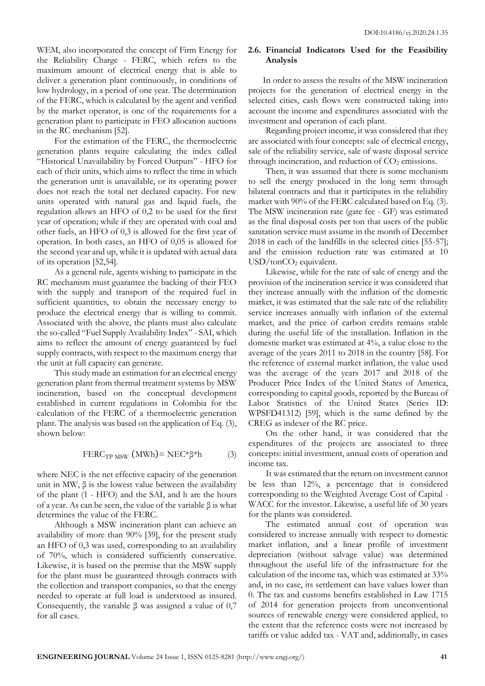WEM, also incorporated the concept of Firm Energy for the Reliability Charge - FERC, which refers to the maximum amount of electrical energy that is able to deliver a generation plant continuously, in conditions of low hydrology, in a period of one year. The determination of the FERC, which is calculated by the agent and verified by the market operator, is one of the requirements for a generation plant to participate in FEO allocation auctions in the RC mechanism [52].

For the estimation of the FERC, the thermoelectric generation plants require calculating the index called "Historical Unavailability by Forced Outputs" - HFO for each of their units, which aims to reflect the time in which the generation unit is unavailable, or its operating power does not reach the total net declared capacity. For new units operated with natural gas and liquid fuels, the regulation allows an HFO of 0,2 to be used for the first year of operation; while if they are operated with coal and other fuels, an HFO of 0,3 is allowed for the first year of operation. In both cases, an HFO of 0,05 is allowed for the second year and up, while it is updated with actual data of its operation [52,54].

As a general rule, agents wishing to participate in the RC mechanism must guarantee the backing of their FEO with the supply and transport of the required fuel in sufficient quantities, to obtain the necessary energy to produce the electrical energy that is willing to commit. Associated with the above, the plants must also calculate the so-called "Fuel Supply Availability Index" - SAI, which aims to reflect the amount of energy guaranteed by fuel supply contracts, with respect to the maximum energy that the unit at full capacity can generate.

This study made an estimation for an electrical energy generation plant from thermal treatment systems by MSW incineration, based on the conceptual development established in current regulations in Colombia for the calculation of the FERC of a thermoelectric generation plant. The analysis was based on the application of Eq. (3), shown below:

$$
FERC_{TPMSW} (MWh) = NEC^*\beta^*h \tag{3}
$$

where NEC is the net effective capacity of the generation unit in MW,  $β$  is the lowest value between the availability of the plant (1 - HFO) and the SAI, and h are the hours of a year. As can be seen, the value of the variable β is what determines the value of the FERC.

Although a MSW incineration plant can achieve an availability of more than 90% [39], for the present study an HFO of 0,3 was used, corresponding to an availability of 70%, which is considered sufficiently conservative. Likewise, it is based on the premise that the MSW supply for the plant must be guaranteed through contracts with the collection and transport companies, so that the energy needed to operate at full load is understood as insured. Consequently, the variable  $\beta$  was assigned a value of 0,7 for all cases.

## **2.6. Financial Indicators Used for the Feasibility Analysis**

In order to assess the results of the MSW incineration projects for the generation of electrical energy in the selected cities, cash flows were constructed taking into account the income and expenditures associated with the investment and operation of each plant.

Regarding project income, it was considered that they are associated with four concepts: sale of electrical energy, sale of the reliability service, sale of waste disposal service through incineration, and reduction of  $CO<sub>2</sub>$  emissions.

Then, it was assumed that there is some mechanism to sell the energy produced in the long term through bilateral contracts and that it participates in the reliability market with 90% of the FERC calculated based on Eq. (3). The MSW incineration rate (gate fee - GF) was estimated as the final disposal costs per ton that users of the public sanitation service must assume in the month of December 2018 in each of the landfills in the selected cities [55-57]; and the emission reduction rate was estimated at 10  $USD/tonCO<sub>2</sub>$  equivalent.

Likewise, while for the rate of sale of energy and the provision of the incineration service it was considered that they increase annually with the inflation of the domestic market, it was estimated that the sale rate of the reliability service increases annually with inflation of the external market, and the price of carbon credits remains stable during the useful life of the installation. Inflation in the domestic market was estimated at 4%, a value close to the average of the years 2011 to 2018 in the country [58]. For the reference of external market inflation, the value used was the average of the years 2017 and 2018 of the Producer Price Index of the United States of America, corresponding to capital goods, reported by the Bureau of Labor Statistics of the United States (Series ID: WPSFD41312) [59], which is the same defined by the CREG as indexer of the RC price.

On the other hand, it was considered that the expenditures of the projects are associated to three concepts: initial investment, annual costs of operation and income tax.

It was estimated that the return on investment cannot be less than 12%, a percentage that is considered corresponding to the Weighted Average Cost of Capital - WACC for the investor. Likewise, a useful life of 30 years for the plants was considered.

The estimated annual cost of operation was considered to increase annually with respect to domestic market inflation, and a linear profile of investment depreciation (without salvage value) was determined throughout the useful life of the infrastructure for the calculation of the income tax, which was estimated at 33% and, in no case, its settlement can have values lower than 0. The tax and customs benefits established in Law 1715 of 2014 for generation projects from unconventional sources of renewable energy were considered applied, to the extent that the reference costs were not increased by tariffs or value added tax - VAT and, additionally, in cases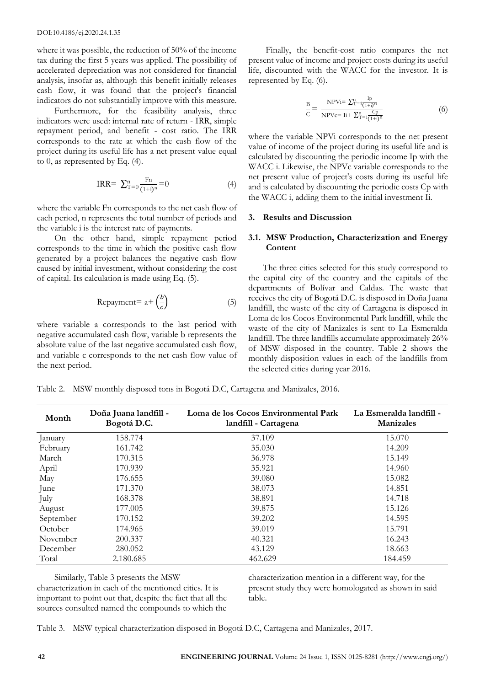where it was possible, the reduction of 50% of the income tax during the first 5 years was applied. The possibility of accelerated depreciation was not considered for financial analysis, insofar as, although this benefit initially releases cash flow, it was found that the project's financial indicators do not substantially improve with this measure.

Furthermore, for the feasibility analysis, three indicators were used: internal rate of return - IRR, simple repayment period, and benefit - cost ratio. The IRR corresponds to the rate at which the cash flow of the project during its useful life has a net present value equal to 0, as represented by Eq. (4).

$$
IRR = \sum_{T=0}^{n} \frac{F_n}{(1+i)^n} = 0 \tag{4}
$$

where the variable Fn corresponds to the net cash flow of each period, n represents the total number of periods and the variable i is the interest rate of payments.

On the other hand, simple repayment period corresponds to the time in which the positive cash flow generated by a project balances the negative cash flow caused by initial investment, without considering the cost of capital. Its calculation is made using Eq. (5).

$$
Repayment = a + \left(\frac{b}{c}\right) \tag{5}
$$

where variable a corresponds to the last period with negative accumulated cash flow, variable b represents the absolute value of the last negative accumulated cash flow, and variable c corresponds to the net cash flow value of the next period.

Finally, the benefit-cost ratio compares the net present value of income and project costs during its useful life, discounted with the WACC for the investor. It is represented by Eq. (6).

$$
\frac{B}{C} = \frac{NPVi = \sum_{T=1}^{n} \frac{Ip}{(1+i)^{n}}}{NPVe = Ii + \sum_{T=1}^{n} \frac{Cp}{(1+i)^{n}}}
$$
(6)

where the variable NPVi corresponds to the net present value of income of the project during its useful life and is calculated by discounting the periodic income Ip with the WACC i. Likewise, the NPVc variable corresponds to the net present value of project's costs during its useful life and is calculated by discounting the periodic costs Cp with the WACC i, adding them to the initial investment Ii.

#### **3. Results and Discussion**

# **3.1. MSW Production, Characterization and Energy Content**

The three cities selected for this study correspond to the capital city of the country and the capitals of the departments of Bolívar and Caldas. The waste that receives the city of Bogotá D.C. is disposed in Doña Juana landfill, the waste of the city of Cartagena is disposed in Loma de los Cocos Environmental Park landfill, while the waste of the city of Manizales is sent to La Esmeralda landfill. The three landfills accumulate approximately 26% of MSW disposed in the country. Table 2 shows the monthly disposition values in each of the landfills from the selected cities during year 2016.

|  | Table 2. MSW monthly disposed tons in Bogotá D.C, Cartagena and Manizales, 2016. |  |  |  |  |
|--|----------------------------------------------------------------------------------|--|--|--|--|
|  |                                                                                  |  |  |  |  |

| Month     | Doña Juana landfill -<br>Bogotá D.C. | Loma de los Cocos Environmental Park<br>landfill - Cartagena | La Esmeralda landfill -<br><b>Manizales</b> |
|-----------|--------------------------------------|--------------------------------------------------------------|---------------------------------------------|
| January   | 158.774                              | 37.109                                                       | 15.070                                      |
| February  | 161.742                              | 35.030                                                       | 14.209                                      |
| March     | 170.315                              | 36.978                                                       | 15.149                                      |
| April     | 170.939                              | 35.921                                                       | 14.960                                      |
| May       | 176.655                              | 39.080                                                       | 15.082                                      |
| June      | 171.370                              | 38.073                                                       | 14.851                                      |
| July      | 168.378                              | 38.891                                                       | 14.718                                      |
| August    | 177.005                              | 39.875                                                       | 15.126                                      |
| September | 170.152                              | 39.202                                                       | 14.595                                      |
| October   | 174.965                              | 39.019                                                       | 15.791                                      |
| November  | 200.337                              | 40.321                                                       | 16.243                                      |
| December  | 280.052                              | 43.129                                                       | 18.663                                      |
| Total     | 2.180.685                            | 462.629                                                      | 184.459                                     |

Similarly, Table 3 presents the MSW characterization in each of the mentioned cities. It is important to point out that, despite the fact that all the sources consulted named the compounds to which the characterization mention in a different way, for the present study they were homologated as shown in said table.

Table 3. MSW typical characterization disposed in Bogotá D.C, Cartagena and Manizales, 2017.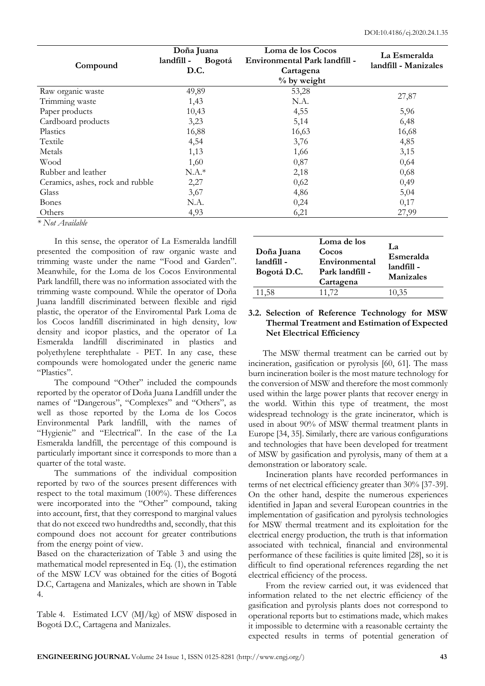|                                  | Doña Juana           | Loma de los Cocos             | La Esmeralda         |  |
|----------------------------------|----------------------|-------------------------------|----------------------|--|
| Compound                         | landfill -<br>Bogotá | Environmental Park landfill - | landfill - Manizales |  |
|                                  | D.C.                 | Cartagena                     |                      |  |
|                                  |                      | $%$ by weight                 |                      |  |
| Raw organic waste                | 49,89                | 53,28                         | 27,87                |  |
| Trimming waste                   | 1,43                 | N.A.                          |                      |  |
| Paper products                   | 10,43                | 4,55                          | 5,96                 |  |
| Cardboard products               | 3,23                 | 5,14                          | 6,48                 |  |
| Plastics                         | 16,88                | 16,63                         | 16,68                |  |
| Textile                          | 4,54                 | 3,76                          | 4,85                 |  |
| Metals                           | 1,13                 | 1,66                          | 3,15                 |  |
| Wood                             | 1,60                 | 0,87                          | 0,64                 |  |
| Rubber and leather               | $N.A.*$              | 2,18                          | 0,68                 |  |
| Ceramics, ashes, rock and rubble | 2,27                 | 0,62                          | 0,49                 |  |
| Glass                            | 3,67                 | 4,86                          | 5,04                 |  |
| <b>Bones</b>                     | N.A.                 | 0,24                          | 0,17                 |  |
| Others                           | 4,93                 | 6,21                          | 27,99                |  |
| * Not Available                  |                      |                               |                      |  |

In this sense, the operator of La Esmeralda landfill presented the composition of raw organic waste and trimming waste under the name "Food and Garden". Meanwhile, for the Loma de los Cocos Environmental Park landfill, there was no information associated with the trimming waste compound. While the operator of Doña Juana landfill discriminated between flexible and rigid plastic, the operator of the Enviromental Park Loma de los Cocos landfill discriminated in high density, low density and icopor plastics, and the operator of La Esmeralda landfill discriminated in plastics and polyethylene terephthalate - PET. In any case, these compounds were homologated under the generic name "Plastics".

The compound "Other" included the compounds reported by the operator of Doña Juana Landfill under the names of "Dangerous", "Complexes" and "Others", as well as those reported by the Loma de los Cocos Environmental Park landfill, with the names of "Hygienic" and "Electrical". In the case of the La Esmeralda landfill, the percentage of this compound is particularly important since it corresponds to more than a quarter of the total waste.

The summations of the individual composition reported by two of the sources present differences with respect to the total maximum (100%). These differences were incorporated into the "Other" compound, taking into account, first, that they correspond to marginal values that do not exceed two hundredths and, secondly, that this compound does not account for greater contributions from the energy point of view.

Based on the characterization of Table 3 and using the mathematical model represented in Eq. (1), the estimation of the MSW LCV was obtained for the cities of Bogotá D.C, Cartagena and Manizales, which are shown in Table 4.

Table 4. Estimated LCV (MJ/kg) of MSW disposed in Bogotá D.C, Cartagena and Manizales.

| Doña Juana<br>landfill -<br>Bogotá D.C. | Loma de los<br>Cocos<br>Environmental<br>Park landfill -<br>Cartagena | La<br>Esmeralda<br>landfill -<br><b>Manizales</b> |
|-----------------------------------------|-----------------------------------------------------------------------|---------------------------------------------------|
| 11,58                                   | 11,72                                                                 | 10,35                                             |

## **3.2. Selection of Reference Technology for MSW Thermal Treatment and Estimation of Expected Net Electrical Efficiency**

The MSW thermal treatment can be carried out by incineration, gasification or pyrolysis [60, 61]. The mass burn incineration boiler is the most mature technology for the conversion of MSW and therefore the most commonly used within the large power plants that recover energy in the world. Within this type of treatment, the most widespread technology is the grate incinerator, which is used in about 90% of MSW thermal treatment plants in Europe [34, 35]. Similarly, there are various configurations and technologies that have been developed for treatment of MSW by gasification and pyrolysis, many of them at a demonstration or laboratory scale.

Incineration plants have recorded performances in terms of net electrical efficiency greater than 30% [37-39]. On the other hand, despite the numerous experiences identified in Japan and several European countries in the implementation of gasification and pyrolysis technologies for MSW thermal treatment and its exploitation for the electrical energy production, the truth is that information associated with technical, financial and environmental performance of these facilities is quite limited [28], so it is difficult to find operational references regarding the net electrical efficiency of the process.

From the review carried out, it was evidenced that information related to the net electric efficiency of the gasification and pyrolysis plants does not correspond to operational reports but to estimations made, which makes it impossible to determine with a reasonable certainty the expected results in terms of potential generation of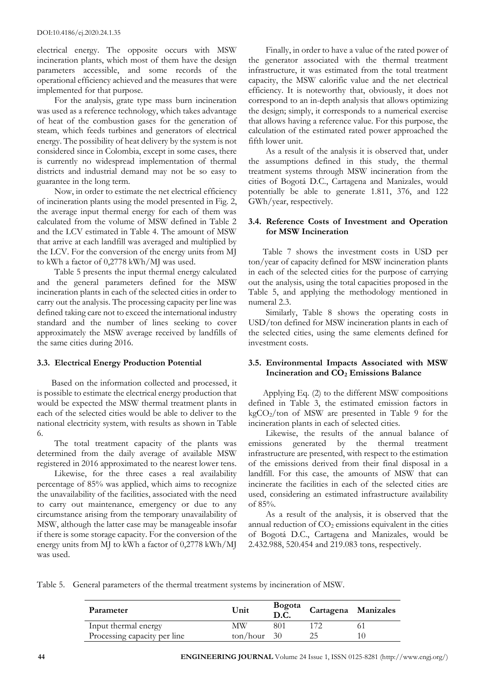#### DOI:10.4186/ej.2020.24.1.35

electrical energy. The opposite occurs with MSW incineration plants, which most of them have the design parameters accessible, and some records of the operational efficiency achieved and the measures that were implemented for that purpose.

For the analysis, grate type mass burn incineration was used as a reference technology, which takes advantage of heat of the combustion gases for the generation of steam, which feeds turbines and generators of electrical energy. The possibility of heat delivery by the system is not considered since in Colombia, except in some cases, there is currently no widespread implementation of thermal districts and industrial demand may not be so easy to guarantee in the long term.

Now, in order to estimate the net electrical efficiency of incineration plants using the model presented in Fig. 2, the average input thermal energy for each of them was calculated from the volume of MSW defined in Table 2 and the LCV estimated in Table 4. The amount of MSW that arrive at each landfill was averaged and multiplied by the LCV. For the conversion of the energy units from MJ to kWh a factor of 0,2778 kWh/MJ was used.

Table 5 presents the input thermal energy calculated and the general parameters defined for the MSW incineration plants in each of the selected cities in order to carry out the analysis. The processing capacity per line was defined taking care not to exceed the international industry standard and the number of lines seeking to cover approximately the MSW average received by landfills of the same cities during 2016.

#### **3.3. Electrical Energy Production Potential**

Based on the information collected and processed, it is possible to estimate the electrical energy production that would be expected the MSW thermal treatment plants in each of the selected cities would be able to deliver to the national electricity system, with results as shown in Table 6.

The total treatment capacity of the plants was determined from the daily average of available MSW registered in 2016 approximated to the nearest lower tens.

Likewise, for the three cases a real availability percentage of 85% was applied, which aims to recognize the unavailability of the facilities, associated with the need to carry out maintenance, emergency or due to any circumstance arising from the temporary unavailability of MSW, although the latter case may be manageable insofar if there is some storage capacity. For the conversion of the energy units from MJ to kWh a factor of 0,2778 kWh/MJ was used.

Finally, in order to have a value of the rated power of the generator associated with the thermal treatment infrastructure, it was estimated from the total treatment capacity, the MSW calorific value and the net electrical efficiency. It is noteworthy that, obviously, it does not correspond to an in-depth analysis that allows optimizing the design; simply, it corresponds to a numerical exercise that allows having a reference value. For this purpose, the calculation of the estimated rated power approached the fifth lower unit.

As a result of the analysis it is observed that, under the assumptions defined in this study, the thermal treatment systems through MSW incineration from the cities of Bogotá D.C., Cartagena and Manizales, would potentially be able to generate 1.811, 376, and 122 GWh/year, respectively.

# **3.4. Reference Costs of Investment and Operation for MSW Incineration**

Table 7 shows the investment costs in USD per ton/year of capacity defined for MSW incineration plants in each of the selected cities for the purpose of carrying out the analysis, using the total capacities proposed in the Table 5, and applying the methodology mentioned in numeral 2.3.

Similarly, Table 8 shows the operating costs in USD/ton defined for MSW incineration plants in each of the selected cities, using the same elements defined for investment costs.

# **3.5. Environmental Impacts Associated with MSW Incineration and CO<sup>2</sup> Emissions Balance**

Applying Eq. (2) to the different MSW compositions defined in Table 3, the estimated emission factors in kgCO2/ton of MSW are presented in Table 9 for the incineration plants in each of selected cities.

Likewise, the results of the annual balance of emissions generated by the thermal treatment infrastructure are presented, with respect to the estimation of the emissions derived from their final disposal in a landfill. For this case, the amounts of MSW that can incinerate the facilities in each of the selected cities are used, considering an estimated infrastructure availability of 85%.

As a result of the analysis, it is observed that the annual reduction of  $CO<sub>2</sub>$  emissions equivalent in the cities of Bogotá D.C., Cartagena and Manizales, would be 2.432.988, 520.454 and 219.083 tons, respectively.

Table 5. General parameters of the thermal treatment systems by incineration of MSW.

| Parameter                    | Unit                          | Bogota<br>D.C. | Cartagena Manizales |  |
|------------------------------|-------------------------------|----------------|---------------------|--|
| Input thermal energy         | МW                            | 801            |                     |  |
| Processing capacity per line | $\frac{\tan/\text{hour}}{30}$ |                |                     |  |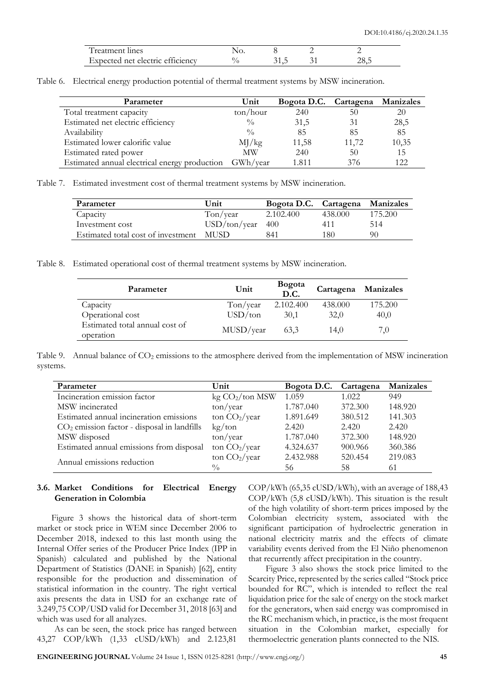| Treatment lines                  |      |      |
|----------------------------------|------|------|
| Expected net electric efficiency | 31,5 | 28,5 |

|  | Table 6. Electrical energy production potential of thermal treatment systems by MSW incineration. |  |  |  |  |  |  |  |
|--|---------------------------------------------------------------------------------------------------|--|--|--|--|--|--|--|
|--|---------------------------------------------------------------------------------------------------|--|--|--|--|--|--|--|

| Parameter                                     | Unit                | Bogota D.C. Cartagena Manizales |       |       |
|-----------------------------------------------|---------------------|---------------------------------|-------|-------|
| Total treatment capacity                      | $\frac{\tan}{\tan}$ | 240                             | 50    | 20    |
| Estimated net electric efficiency             | $\frac{0}{0}$       | 31,5                            | 31    | 28,5  |
| Availability                                  | $\frac{0}{0}$       | 85                              | 85    | 85    |
| Estimated lower calorific value               | MJ/kg               | 11,58                           | 11,72 | 10,35 |
| Estimated rated power                         | <b>MW</b>           | 240                             | 50    | 15    |
| Estimated annual electrical energy production | GWh/year            | 1 811                           | 376   | 122   |

Table 7. Estimated investment cost of thermal treatment systems by MSW incineration.

| Parameter                          | Unit                     | Bogota D.C. Cartagena Manizales |         |         |
|------------------------------------|--------------------------|---------------------------------|---------|---------|
| Capacity                           | $\text{Top}/\text{year}$ | 2.102.400                       | 438,000 | 175.200 |
| Investment cost                    | $USD/ton/year$ 400       |                                 | 411     | 514     |
| Estimated total cost of investment | MUSD.                    | 841                             | 180     | 90      |

Table 8. Estimated operational cost of thermal treatment systems by MSW incineration.

| Parameter                      | Unit                  | <b>Bogota</b><br>D.C. | Cartagena Manizales |         |
|--------------------------------|-----------------------|-----------------------|---------------------|---------|
| Capacity                       | T <sub>on</sub> /year | 2.102.400             | 438.000             | 175.200 |
| Operational cost               | USD/ton               | 30,1                  | 32,0                | 40,0    |
| Estimated total annual cost of | MUSD/year             | 63.3                  | 14,0                | 7.0     |
| operation                      |                       |                       |                     |         |

Table 9. Annual balance of CO<sub>2</sub> emissions to the atmosphere derived from the implementation of MSW incineration systems.

| Parameter                                     | Unit                        | Bogota D.C. | Cartagena | Manizales |
|-----------------------------------------------|-----------------------------|-------------|-----------|-----------|
| Incineration emission factor                  | kg CO <sub>2</sub> /ton MSW | 1.059       | 1.022     | 949       |
| MSW incinerated                               | $\frac{\tan}{\tan}$         | 1.787.040   | 372.300   | 148.920   |
| Estimated annual incineration emissions       | ton CO <sub>2</sub> /year   | 1.891.649   | 380.512   | 141.303   |
| $CO2$ emission factor - disposal in landfills | kg/ton                      | 2.420       | 2.420     | 2.420     |
| MSW disposed                                  | $\frac{\tan}{\tan}$         | 1.787.040   | 372.300   | 148.920   |
| Estimated annual emissions from disposal      | ton $CO_2$ /year            | 4.324.637   | 900.966   | 360.386   |
|                                               | ton $CO_2$ /year            | 2.432.988   | 520.454   | 219.083   |
| Annual emissions reduction                    | $\frac{0}{0}$               | 56          | 58        | 61        |

## **3.6. Market Conditions for Electrical Energy Generation in Colombia**

Figure 3 shows the historical data of short-term market or stock price in WEM since December 2006 to December 2018, indexed to this last month using the Internal Offer series of the Producer Price Index (IPP in Spanish) calculated and published by the National Department of Statistics (DANE in Spanish) [62], entity responsible for the production and dissemination of statistical information in the country. The right vertical axis presents the data in USD for an exchange rate of 3.249,75 COP/USD valid for December 31, 2018 [63] and which was used for all analyzes.

As can be seen, the stock price has ranged between 43,27 COP/kWh (1,33 cUSD/kWh) and 2.123,81

 $COP/kWh$  (65,35  $cUSD/kWh$ ), with an average of 188,43 COP/kWh (5,8 cUSD/kWh). This situation is the result of the high volatility of short-term prices imposed by the Colombian electricity system, associated with the significant participation of hydroelectric generation in national electricity matrix and the effects of climate variability events derived from the El Niño phenomenon that recurrently affect precipitation in the country.

Figure 3 also shows the stock price limited to the Scarcity Price, represented by the series called "Stock price bounded for RC", which is intended to reflect the real liquidation price for the sale of energy on the stock market for the generators, when said energy was compromised in the RC mechanism which, in practice, is the most frequent situation in the Colombian market, especially for thermoelectric generation plants connected to the NIS.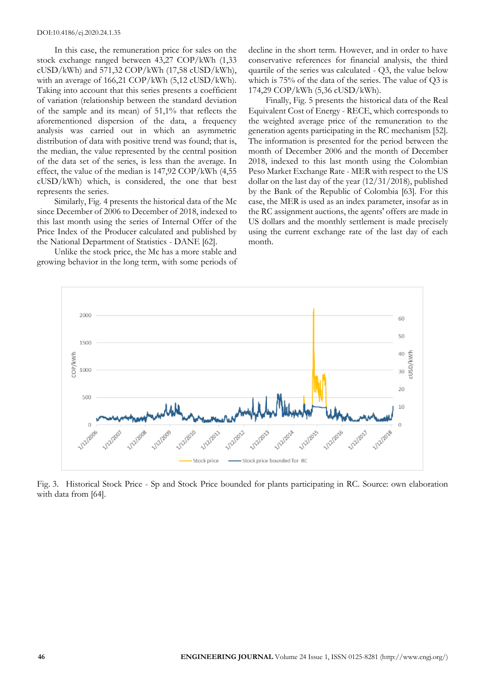In this case, the remuneration price for sales on the stock exchange ranged between 43,27 COP/kWh (1,33  $cUSD/kWh$ ) and 571,32 COP/kWh (17,58  $cUSD/kWh$ ), with an average of 166,21 COP/kWh (5,12 cUSD/kWh). Taking into account that this series presents a coefficient of variation (relationship between the standard deviation of the sample and its mean) of 51,1% that reflects the aforementioned dispersion of the data, a frequency analysis was carried out in which an asymmetric distribution of data with positive trend was found; that is, the median, the value represented by the central position of the data set of the series, is less than the average. In effect, the value of the median is 147,92 COP/kWh (4,55 cUSD/kWh) which, is considered, the one that best represents the series.

Similarly, Fig. 4 presents the historical data of the Mc since December of 2006 to December of 2018, indexed to this last month using the series of Internal Offer of the Price Index of the Producer calculated and published by the National Department of Statistics - DANE [62].

Unlike the stock price, the Mc has a more stable and growing behavior in the long term, with some periods of decline in the short term. However, and in order to have conservative references for financial analysis, the third quartile of the series was calculated - Q3, the value below which is 75% of the data of the series. The value of Q3 is 174,29 COP/kWh (5,36 cUSD/kWh).

Finally, Fig. 5 presents the historical data of the Real Equivalent Cost of Energy - RECE, which corresponds to the weighted average price of the remuneration to the generation agents participating in the RC mechanism [52]. The information is presented for the period between the month of December 2006 and the month of December 2018, indexed to this last month using the Colombian Peso Market Exchange Rate - MER with respect to the US dollar on the last day of the year (12/31/2018), published by the Bank of the Republic of Colombia [63]. For this case, the MER is used as an index parameter, insofar as in the RC assignment auctions, the agents' offers are made in US dollars and the monthly settlement is made precisely using the current exchange rate of the last day of each month.



Fig. 3. Historical Stock Price - Sp and Stock Price bounded for plants participating in RC. Source: own elaboration with data from [64].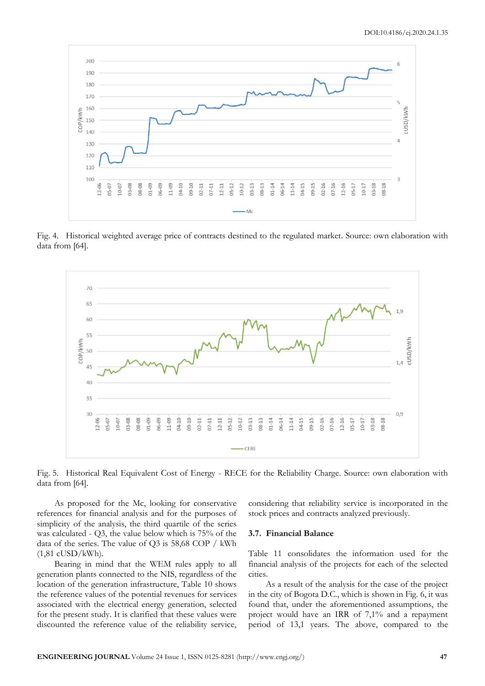

Fig. 4. Historical weighted average price of contracts destined to the regulated market. Source: own elaboration with data from [64].



Fig. 5. Historical Real Equivalent Cost of Energy - RECE for the Reliability Charge. Source: own elaboration with data from [64].

As proposed for the Mc, looking for conservative references for financial analysis and for the purposes of simplicity of the analysis, the third quartile of the series was calculated - Q3, the value below which is 75% of the data of the series. The value of Q3 is 58,68 COP / kWh (1,81 cUSD/kWh).

Bearing in mind that the WEM rules apply to all generation plants connected to the NIS, regardless of the location of the generation infrastructure, Table 10 shows the reference values of the potential revenues for services associated with the electrical energy generation, selected for the present study. It is clarified that these values were discounted the reference value of the reliability service,

considering that reliability service is incorporated in the stock prices and contracts analyzed previously.

#### **3.7. Financial Balance**

Table 11 consolidates the information used for the financial analysis of the projects for each of the selected cities.

As a result of the analysis for the case of the project in the city of Bogota D.C., which is shown in Fig. 6, it was found that, under the aforementioned assumptions, the project would have an IRR of 7,1% and a repayment period of 13,1 years. The above, compared to the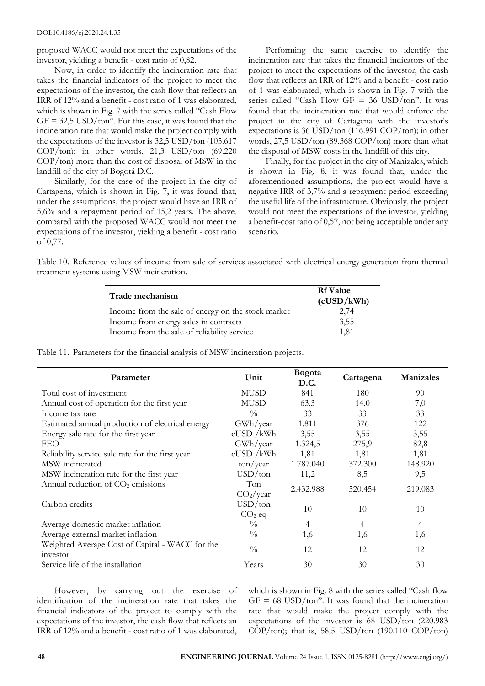DOI:10.4186/ej.2020.24.1.35

proposed WACC would not meet the expectations of the investor, yielding a benefit - cost ratio of 0,82.

Now, in order to identify the incineration rate that takes the financial indicators of the project to meet the expectations of the investor, the cash flow that reflects an IRR of 12% and a benefit - cost ratio of 1 was elaborated, which is shown in Fig. 7 with the series called "Cash Flow  $GF = 32.5$  USD/ton". For this case, it was found that the incineration rate that would make the project comply with the expectations of the investor is 32,5 USD/ton (105.617 COP/ton); in other words, 21,3 USD/ton (69.220 COP/ton) more than the cost of disposal of MSW in the landfill of the city of Bogotá D.C.

Similarly, for the case of the project in the city of Cartagena, which is shown in Fig. 7, it was found that, under the assumptions, the project would have an IRR of 5,6% and a repayment period of 15,2 years. The above, compared with the proposed WACC would not meet the expectations of the investor, yielding a benefit - cost ratio of 0,77.

Performing the same exercise to identify the incineration rate that takes the financial indicators of the project to meet the expectations of the investor, the cash flow that reflects an IRR of 12% and a benefit - cost ratio of 1 was elaborated, which is shown in Fig. 7 with the series called "Cash Flow GF = 36 USD/ton". It was found that the incineration rate that would enforce the project in the city of Cartagena with the investor's expectations is 36 USD/ton (116.991 COP/ton); in other words, 27,5 USD/ton (89.368 COP/ton) more than what the disposal of MSW costs in the landfill of this city.

Finally, for the project in the city of Manizales, which is shown in Fig. 8, it was found that, under the aforementioned assumptions, the project would have a negative IRR of 3,7% and a repayment period exceeding the useful life of the infrastructure. Obviously, the project would not meet the expectations of the investor, yielding a benefit-cost ratio of 0,57, not being acceptable under any scenario.

Table 10. Reference values of income from sale of services associated with electrical energy generation from thermal treatment systems using MSW incineration.

| Trade mechanism                                    | <b>Rf</b> Value<br>(cUSD/kWh) |  |
|----------------------------------------------------|-------------------------------|--|
| Income from the sale of energy on the stock market | 2,74                          |  |
| Income from energy sales in contracts              | 3,55                          |  |
| Income from the sale of reliability service        | 1.81                          |  |

Table 11. Parameters for the financial analysis of MSW incineration projects.

| Parameter                                                   | Unit                         | Bogota<br>D.C. | Cartagena | <b>Manizales</b> |
|-------------------------------------------------------------|------------------------------|----------------|-----------|------------------|
| Total cost of investment                                    | <b>MUSD</b>                  | 841            | 180       | 90               |
| Annual cost of operation for the first year                 | <b>MUSD</b>                  | 63,3           | 14,0      | 7,0              |
| Income tax rate                                             | $\frac{0}{0}$                | 33             | 33        | 33               |
| Estimated annual production of electrical energy            | GWh/year                     | 1.811          | 376       | 122              |
| Energy sale rate for the first year                         | $c$ USD / $k$ Wh             | 3,55           | 3,55      | 3,55             |
| <b>FEO</b>                                                  | GWh/year                     | 1.324,5        | 275,9     | 82,8             |
| Reliability service sale rate for the first year            | $c$ USD / $k$ Wh             | 1,81           | 1,81      | 1,81             |
| MSW incinerated                                             | $\frac{\tan}{\tan}$          | 1.787.040      | 372.300   | 148.920          |
| MSW incineration rate for the first year                    | USD/ton                      | 11,2           | 8,5       | 9,5              |
| Annual reduction of $CO2$ emissions                         | Ton<br>CO <sub>2</sub> /year | 2.432.988      | 520.454   | 219.083          |
| Carbon credits                                              | USD/ton<br>$CO2$ eq          | 10             | 10        | 10               |
| Average domestic market inflation                           | $\frac{0}{0}$                | $\overline{4}$ | 4         | 4                |
| Average external market inflation                           | $\frac{0}{0}$                | 1,6            | 1,6       | 1,6              |
| Weighted Average Cost of Capital - WACC for the<br>investor | $\frac{0}{0}$                | 12             | 12        | 12               |
| Service life of the installation                            | Years                        | 30             | 30        | 30               |

However, by carrying out the exercise of identification of the incineration rate that takes the financial indicators of the project to comply with the expectations of the investor, the cash flow that reflects an IRR of 12% and a benefit - cost ratio of 1 was elaborated,

which is shown in Fig. 8 with the series called "Cash flow  $GF = 68$  USD/ton". It was found that the incineration rate that would make the project comply with the expectations of the investor is 68 USD/ton (220.983 COP/ton); that is, 58,5 USD/ton (190.110 COP/ton)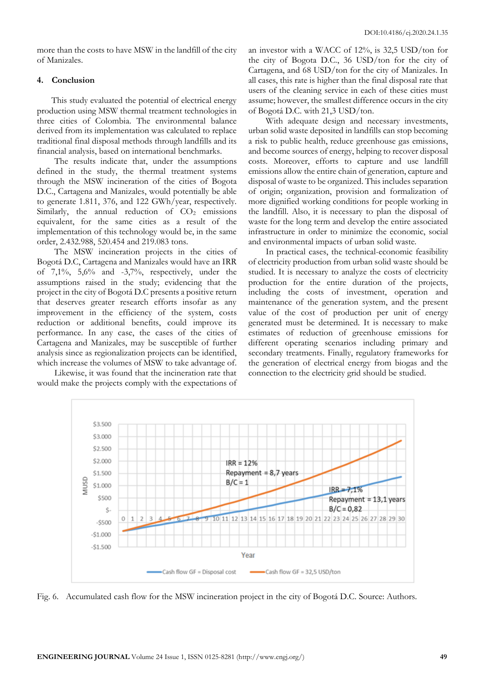more than the costs to have MSW in the landfill of the city of Manizales.

#### **4. Conclusion**

This study evaluated the potential of electrical energy production using MSW thermal treatment technologies in three cities of Colombia. The environmental balance derived from its implementation was calculated to replace traditional final disposal methods through landfills and its financial analysis, based on international benchmarks.

The results indicate that, under the assumptions defined in the study, the thermal treatment systems through the MSW incineration of the cities of Bogota D.C., Cartagena and Manizales, would potentially be able to generate 1.811, 376, and 122 GWh/year, respectively. Similarly, the annual reduction of  $CO<sub>2</sub>$  emissions equivalent, for the same cities as a result of the implementation of this technology would be, in the same order, 2.432.988, 520.454 and 219.083 tons.

The MSW incineration projects in the cities of Bogotá D.C, Cartagena and Manizales would have an IRR of  $7,1\%$ ,  $5,6\%$  and  $-3,7\%$ , respectively, under the assumptions raised in the study; evidencing that the project in the city of Bogotá D.C presents a positive return that deserves greater research efforts insofar as any improvement in the efficiency of the system, costs reduction or additional benefits, could improve its performance. In any case, the cases of the cities of Cartagena and Manizales, may be susceptible of further analysis since as regionalization projects can be identified, which increase the volumes of MSW to take advantage of.

Likewise, it was found that the incineration rate that would make the projects comply with the expectations of an investor with a WACC of 12%, is 32,5 USD/ton for the city of Bogota D.C., 36 USD/ton for the city of Cartagena, and 68 USD/ton for the city of Manizales. In all cases, this rate is higher than the final disposal rate that users of the cleaning service in each of these cities must assume; however, the smallest difference occurs in the city of Bogotá D.C. with 21,3 USD/ton.

With adequate design and necessary investments, urban solid waste deposited in landfills can stop becoming a risk to public health, reduce greenhouse gas emissions, and become sources of energy, helping to recover disposal costs. Moreover, efforts to capture and use landfill emissions allow the entire chain of generation, capture and disposal of waste to be organized. This includes separation of origin; organization, provision and formalization of more dignified working conditions for people working in the landfill. Also, it is necessary to plan the disposal of waste for the long term and develop the entire associated infrastructure in order to minimize the economic, social and environmental impacts of urban solid waste.

In practical cases, the technical-economic feasibility of electricity production from urban solid waste should be studied. It is necessary to analyze the costs of electricity production for the entire duration of the projects, including the costs of investment, operation and maintenance of the generation system, and the present value of the cost of production per unit of energy generated must be determined. It is necessary to make estimates of reduction of greenhouse emissions for different operating scenarios including primary and secondary treatments. Finally, regulatory frameworks for the generation of electrical energy from biogas and the connection to the electricity grid should be studied.



Fig. 6. Accumulated cash flow for the MSW incineration project in the city of Bogotá D.C. Source: Authors.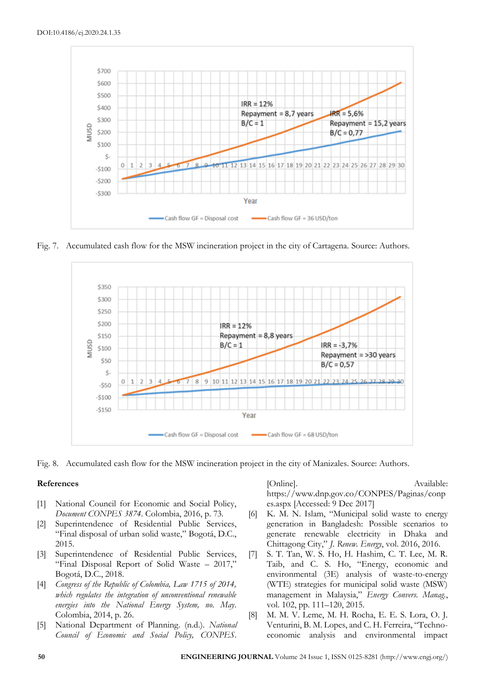

Fig. 7. Accumulated cash flow for the MSW incineration project in the city of Cartagena. Source: Authors.



Fig. 8. Accumulated cash flow for the MSW incineration project in the city of Manizales. Source: Authors.

#### **References**

- [1] National Council for Economic and Social Policy, *Document CONPES 3874*. Colombia, 2016, p. 73.
- [2] Superintendence of Residential Public Services, "Final disposal of urban solid waste," Bogotá, D.C., 2015.
- [3] Superintendence of Residential Public Services, "Final Disposal Report of Solid Waste – 2017," Bogotá, D.C., 2018.
- [4] *Congress of the Republic of Colombia, Law 1715 of 2014, which regulates the integration of unconventional renewable energies into the National Energy System, no. May*. Colombia, 2014, p. 26.
- [5] National Department of Planning. (n.d.). *National Council of Economic and Social Policy, CONPES*.

[Online]. Available: https://www.dnp.gov.co/CONPES/Paginas/conp es.aspx [Accessed: 9 Dec 2017]

- [6] K. M. N. Islam, "Municipal solid waste to energy generation in Bangladesh: Possible scenarios to generate renewable electricity in Dhaka and Chittagong City," *J. Renew. Energy*, vol. 2016, 2016.
- [7] S. T. Tan, W. S. Ho, H. Hashim, C. T. Lee, M. R. Taib, and C. S. Ho, "Energy, economic and environmental (3E) analysis of waste-to-energy (WTE) strategies for municipal solid waste (MSW) management in Malaysia," *Energy Convers. Manag.*, vol. 102, pp. 111–120, 2015.
- [8] M. M. V. Leme, M. H. Rocha, E. E. S. Lora, O. J. Venturini, B. M. Lopes, and C. H. Ferreira, "Technoeconomic analysis and environmental impact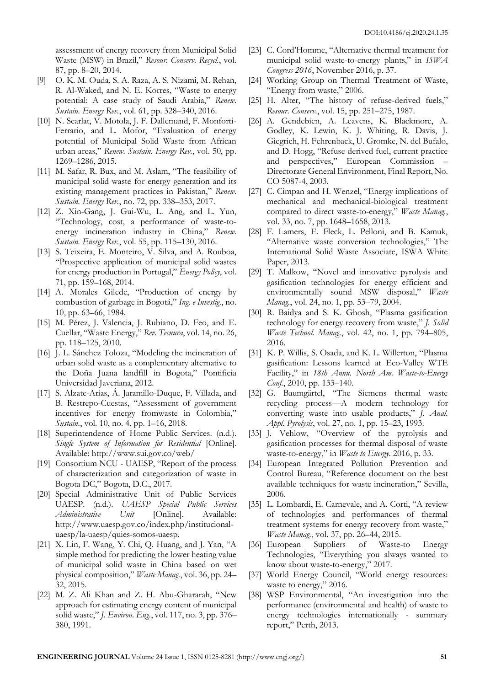assessment of energy recovery from Municipal Solid Waste (MSW) in Brazil," *Resour. Conserv. Recycl.*, vol. 87, pp. 8–20, 2014.

- [9] O. K. M. Ouda, S. A. Raza, A. S. Nizami, M. Rehan, R. Al-Waked, and N. E. Korres, "Waste to energy potential: A case study of Saudi Arabia," *Renew. Sustain. Energy Rev.*, vol. 61, pp. 328–340, 2016.
- [10] N. Scarlat, V. Motola, J. F. Dallemand, F. Monforti-Ferrario, and L. Mofor, "Evaluation of energy potential of Municipal Solid Waste from African urban areas," *Renew. Sustain. Energy Rev.*, vol. 50, pp. 1269–1286, 2015.
- [11] M. Safar, R. Bux, and M. Aslam, "The feasibility of municipal solid waste for energy generation and its existing management practices in Pakistan," *Renew. Sustain. Energy Rev.*, no. 72, pp. 338–353, 2017.
- [12] Z. Xin-Gang, J. Gui-Wu, L. Ang, and L. Yun, "Technology, cost, a performance of waste-toenergy incineration industry in China," *Renew. Sustain. Energy Rev.*, vol. 55, pp. 115–130, 2016.
- [13] S. Teixeira, E. Monteiro, V. Silva, and A. Rouboa, "Prospective application of municipal solid wastes for energy production in Portugal," *Energy Policy*, vol. 71, pp. 159–168, 2014.
- [14] A. Morales Gilede, "Production of energy by combustion of garbage in Bogotá," *Ing. e Investig.*, no. 10, pp. 63–66, 1984.
- [15] M. Pérez, J. Valencia, J. Rubiano, D. Feo, and E. Cuellar, "Waste Energy," *Rev. Tecnura*, vol. 14, no. 26, pp. 118–125, 2010.
- [16] J. L. Sánchez Toloza, "Modeling the incineration of urban solid waste as a complementary alternative to the Doña Juana landfill in Bogota," Pontificia Universidad Javeriana, 2012.
- [17] S. Alzate-Arias, Á. Jaramillo-Duque, F. Villada, and B. Restrepo-Cuestas, "Assessment of government incentives for energy fromwaste in Colombia," *Sustain.*, vol. 10, no. 4, pp. 1–16, 2018.
- [18] Superintendence of Home Public Services. (n.d.). *Single System of Information for Residential* [Online]. Available: http://www.sui.gov.co/web/
- [19] Consortium NCU UAESP, "Report of the process of characterization and categorization of waste in Bogota DC," Bogota, D.C., 2017.
- [20] Special Administrative Unit of Public Services UAESP. (n.d.). *UAESP Special Public Services Administrative Unit* [Online]. Available: http://www.uaesp.gov.co/index.php/institucionaluaesp/la-uaesp/quies-somos-uaesp.
- [21] X. Lin, F. Wang, Y. Chi, Q. Huang, and J. Yan, "A simple method for predicting the lower heating value of municipal solid waste in China based on wet physical composition," *Waste Manag.*, vol. 36, pp. 24– 32, 2015.
- [22] M. Z. Ali Khan and Z. H. Abu-Ghararah, "New approach for estimating energy content of municipal solid waste," *J. Environ. Eng.*, vol. 117, no. 3, pp. 376– 380, 1991.
- [23] C. Cord'Homme, "Alternative thermal treatment for municipal solid waste-to-energy plants," in *ISWA Congress 2016*, November 2016, p. 37.
- [24] Working Group on Thermal Treatment of Waste, "Energy from waste," 2006.
- [25] H. Alter, "The history of refuse-derived fuels," *Resour. Conserv.*, vol. 15, pp. 251–275, 1987.
- [26] A. Gendebien, A. Leavens, K. Blackmore, A. Godley, K. Lewin, K. J. Whiting, R. Davis, J. Giegrich, H. Fehrenback, U. Gromke, N. del Bufalo, and D. Hogg, "Refuse derived fuel, current practice and perspectives," European Commission – Directorate General Environment, Final Report, No. CO 5087-4, 2003.
- [27] C. Cimpan and H. Wenzel, "Energy implications of mechanical and mechanical-biological treatment compared to direct waste-to-energy," *Waste Manag.*, vol. 33, no. 7, pp. 1648–1658, 2013.
- [28] F. Lamers, E. Fleck, L. Pelloni, and B. Kamuk, "Alternative waste conversion technologies," The International Solid Waste Associate, ISWA White Paper, 2013.
- [29] T. Malkow, "Novel and innovative pyrolysis and gasification technologies for energy efficient and environmentally sound MSW disposal," *Waste Manag.*, vol. 24, no. 1, pp. 53–79, 2004.
- [30] R. Baidya and S. K. Ghosh, "Plasma gasification technology for energy recovery from waste," *J. Solid Waste Technol. Manag.*, vol. 42, no. 1, pp. 794–805, 2016.
- [31] K. P. Willis, S. Osada, and K. L. Willerton, "Plasma gasification: Lessons learned at Eco-Valley WTE Facility," in *18th Annu. North Am. Waste-to-Energy Conf.*, 2010, pp. 133–140.
- [32] G. Baumgärtel, "The Siemens thermal waste recycling process—A modern technology for converting waste into usable products," *J. Anal. Appl. Pyrolysis*, vol. 27, no. 1, pp. 15–23, 1993.
- [33] J. Vehlow, "Overview of the pyrolysis and gasification processes for thermal disposal of waste waste-to-energy," in *Waste to Energy*. 2016, p. 33.
- [34] European Integrated Pollution Prevention and Control Bureau, "Reference document on the best available techniques for waste incineration," Sevilla, 2006.
- [35] L. Lombardi, E. Carnevale, and A. Corti, "A review of technologies and performances of thermal treatment systems for energy recovery from waste," *Waste Manag.*, vol. 37, pp. 26–44, 2015.
- [36] European Suppliers of Waste-to Energy Technologies, "Everything you always wanted to know about waste-to-energy," 2017.
- [37] World Energy Council, "World energy resources: waste to energy," 2016.
- [38] WSP Environmental, "An investigation into the performance (environmental and health) of waste to energy technologies internationally - summary report," Perth, 2013.